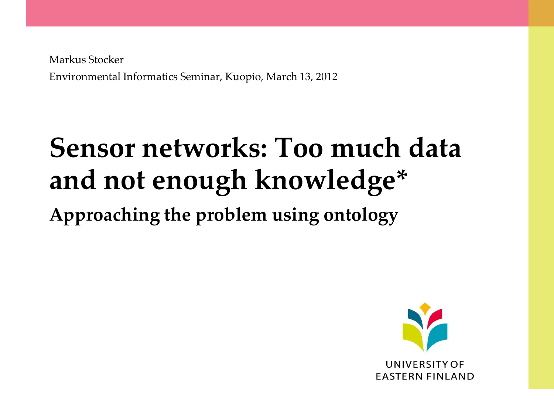Markus Stocker Environmental Informatics Seminar, Kuopio, March 13, 2012

# **Sensor networks: Too much data and not enough knowledge\***

**Approaching the problem using ontology**

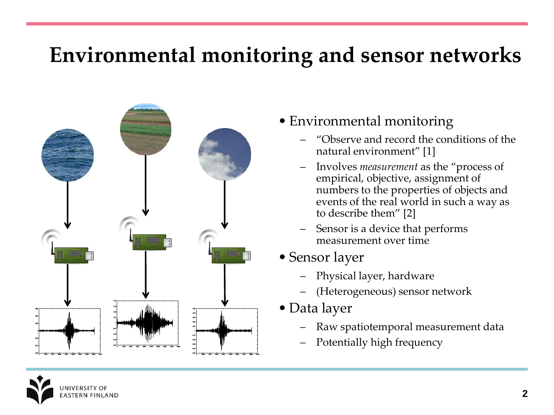### **Environmental monitoring and sensor networks**



- Environmental monitoring
	- "Observe and record the conditions of the natural environment" [1]
	- Involves *measurement* as the "process of empirical, objective, assignment of numbers to the properties of objects and events of the real world in such a way as to describe them" [2]
	- Sensor is a device that performs measurement over time
- Sensor layer
	- Physical layer, hardware
	- (Heterogeneous) sensor network
- Data layer
	- Raw spatiotemporal measurement data
	- Potentially high frequency

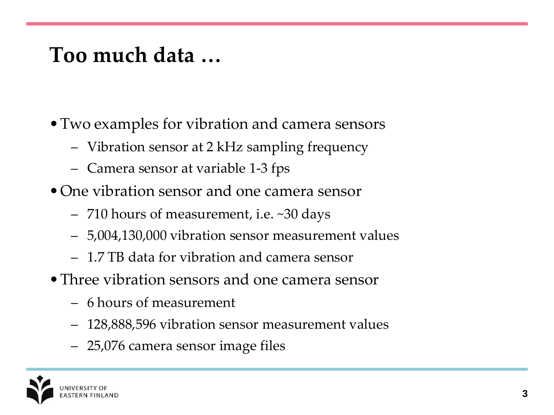### **Too much data …**

- •Two examples for vibration and camera sensors
	- Vibration sensor at 2 kHz sampling frequency
	- Camera sensor at variable 1-3 fps
- One vibration sensor and one camera sensor
	- 710 hours of measurement, i.e. ~30 days
	- 5,004,130,000 vibration sensor measurement values
	- 1.7 TB data for vibration and camera sensor
- •Three vibration sensors and one camera sensor
	- 6 hours of measurement
	- 128,888,596 vibration sensor measurement values
	- 25,076 camera sensor image files

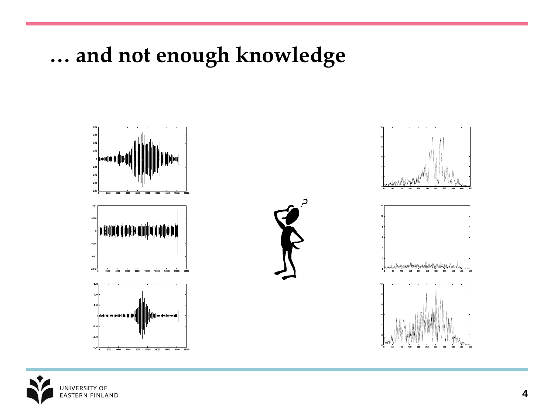#### **… and not enough knowledge**



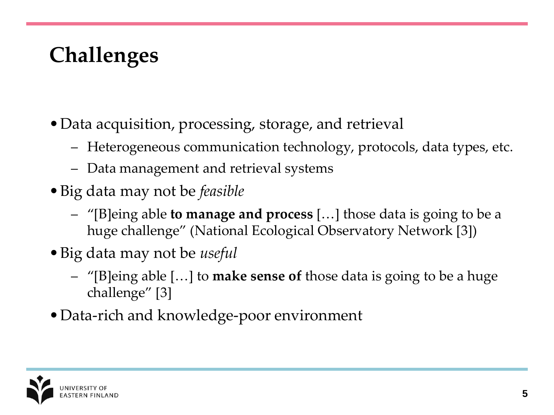# **Challenges**

- •Data acquisition, processing, storage, and retrieval
	- Heterogeneous communication technology, protocols, data types, etc.
	- Data management and retrieval systems
- •Big data may not be *feasible*
	- "[B]eing able **to manage and process** […] those data is going to be a huge challenge" (National Ecological Observatory Network [3])
- •Big data may not be *useful*
	- "[B]eing able […] to **make sense of** those data is going to be a huge challenge" [3]
- Data-rich and knowledge-poor environment

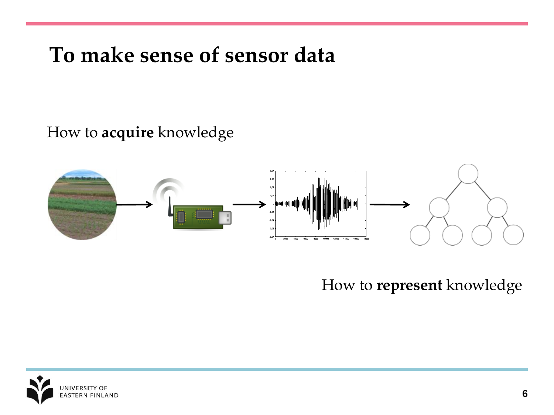### **To make sense of sensor data**

How to **acquire** knowledge



How to **represent** knowledge

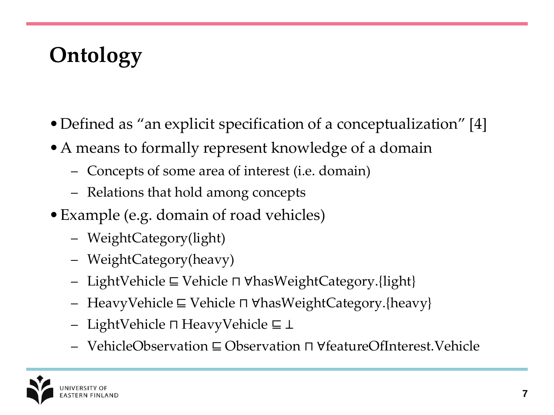# **Ontology**

- Defined as "an explicit specification of a conceptualization" [4]
- •A means to formally represent knowledge of a domain
	- Concepts of some area of interest (i.e. domain)
	- Relations that hold among concepts
- •Example (e.g. domain of road vehicles)
	- WeightCategory(light)
	- WeightCategory(heavy)
	- LightVehicle ⊑ Vehicle ⊓ ∀hasWeightCategory.{light}
	- HeavyVehicle ⊑ Vehicle ⊓ ∀hasWeightCategory.{heavy}
	- LightVehicle ⊓ HeavyVehicle ⊑ ⊥
	- VehicleObservation ⊑ Observation ⊓ ∀featureOfInterest.Vehicle

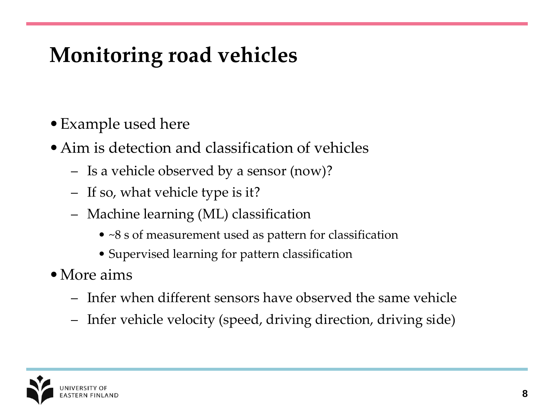# **Monitoring road vehicles**

- •Example used here
- •Aim is detection and classification of vehicles
	- Is a vehicle observed by a sensor (now)?
	- If so, what vehicle type is it?
	- Machine learning (ML) classification
		- ~8 s of measurement used as pattern for classification
		- Supervised learning for pattern classification
- More aims
	- Infer when different sensors have observed the same vehicle
	- Infer vehicle velocity (speed, driving direction, driving side)

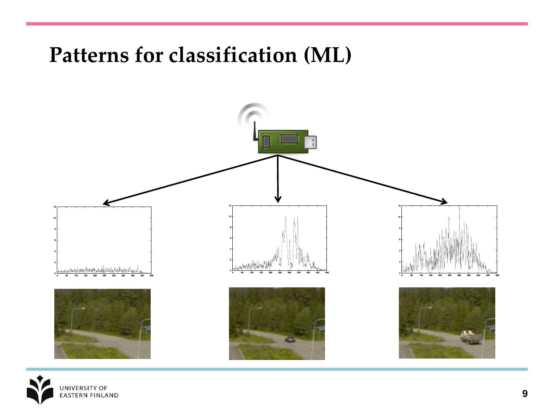#### **Patterns for classification (ML)**



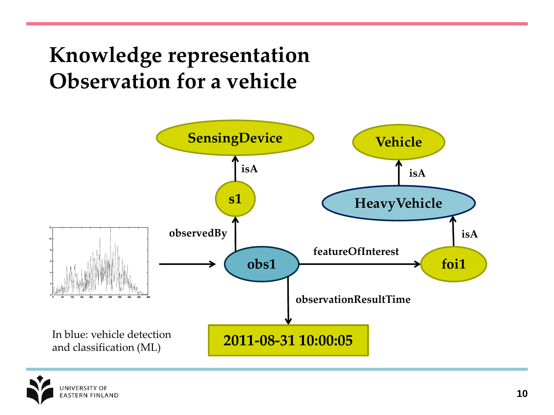### **Knowledge representation Observation for a vehicle**



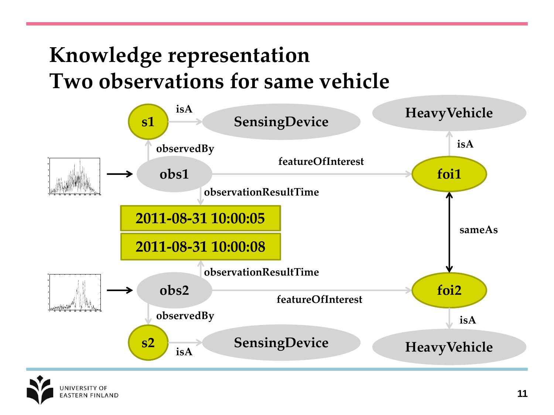### **Knowledge representation Two observations for same vehicle**



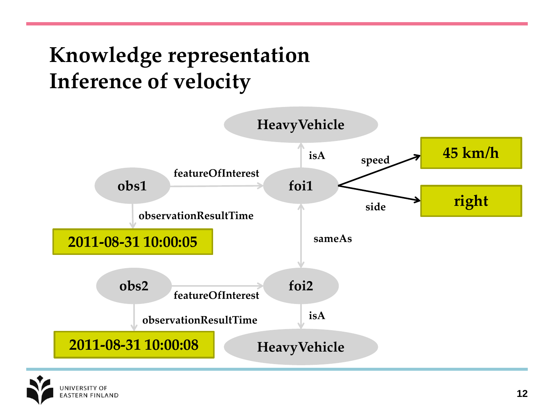### **Knowledge representation Inference of velocity**



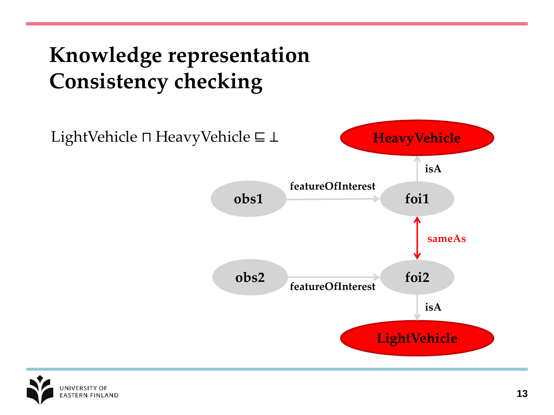**Knowledge representation Consistency checking**



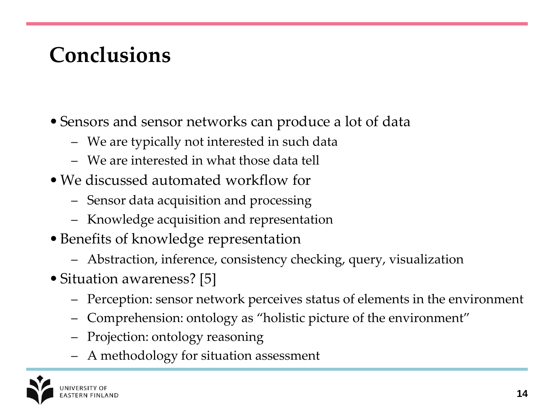# **Conclusions**

- Sensors and sensor networks can produce a lot of data
	- We are typically not interested in such data
	- We are interested in what those data tell
- We discussed automated workflow for
	- Sensor data acquisition and processing
	- Knowledge acquisition and representation
- Benefits of knowledge representation
	- Abstraction, inference, consistency checking, query, visualization
- Situation awareness? [5]
	- Perception: sensor network perceives status of elements in the environment
	- Comprehension: ontology as "holistic picture of the environment"
	- Projection: ontology reasoning
	- A methodology for situation assessment